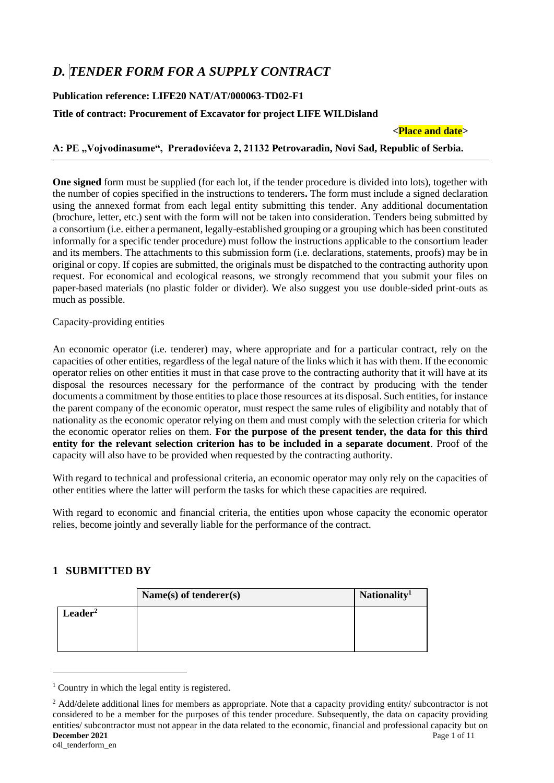# *D. TENDER FORM FOR A SUPPLY CONTRACT*

## **Publication reference: LIFE20 NAT/AT/000063-TD02-F1**

## **Title of contract: Procurement of Excavator for project LIFE WILDisland**

**<Place and date>**

**A: PE "Vojvodinasume", Preradovićeva 2, 21132 Petrovaradin, Novi Sad, Republic of Serbia.**

**One signed** form must be supplied (for each lot, if the tender procedure is divided into lots), together with the number of copies specified in the instructions to tenderers**.** The form must include a signed declaration using the annexed format from each legal entity submitting this tender. Any additional documentation (brochure, letter, etc.) sent with the form will not be taken into consideration. Tenders being submitted by a consortium (i.e. either a permanent, legally-established grouping or a grouping which has been constituted informally for a specific tender procedure) must follow the instructions applicable to the consortium leader and its members. The attachments to this submission form (i.e. declarations, statements, proofs) may be in original or copy. If copies are submitted, the originals must be dispatched to the contracting authority upon request. For economical and ecological reasons, we strongly recommend that you submit your files on paper-based materials (no plastic folder or divider). We also suggest you use double-sided print-outs as much as possible.

Capacity-providing entities

An economic operator (i.e. tenderer) may, where appropriate and for a particular contract, rely on the capacities of other entities, regardless of the legal nature of the links which it has with them. If the economic operator relies on other entities it must in that case prove to the contracting authority that it will have at its disposal the resources necessary for the performance of the contract by producing with the tender documents a commitment by those entities to place those resources at its disposal. Such entities, for instance the parent company of the economic operator, must respect the same rules of eligibility and notably that of nationality as the economic operator relying on them and must comply with the selection criteria for which the economic operator relies on them. **For the purpose of the present tender, the data for this third entity for the relevant selection criterion has to be included in a separate document**. Proof of the capacity will also have to be provided when requested by the contracting authority.

With regard to technical and professional criteria, an economic operator may only rely on the capacities of other entities where the latter will perform the tasks for which these capacities are required.

With regard to economic and financial criteria, the entities upon whose capacity the economic operator relies, become jointly and severally liable for the performance of the contract.

# **1 SUBMITTED BY**

|                     | Name $(s)$ of tenderer $(s)$ | Nationality <sup>1</sup> |
|---------------------|------------------------------|--------------------------|
| Leader <sup>2</sup> |                              |                          |
|                     |                              |                          |
|                     |                              |                          |

<sup>&</sup>lt;sup>1</sup> Country in which the legal entity is registered.

**December 2021** Page 1 of 11 c4l\_tenderform\_en <sup>2</sup> Add/delete additional lines for members as appropriate. Note that a capacity providing entity/ subcontractor is not considered to be a member for the purposes of this tender procedure. Subsequently, the data on capacity providing entities/ subcontractor must not appear in the data related to the economic, financial and professional capacity but on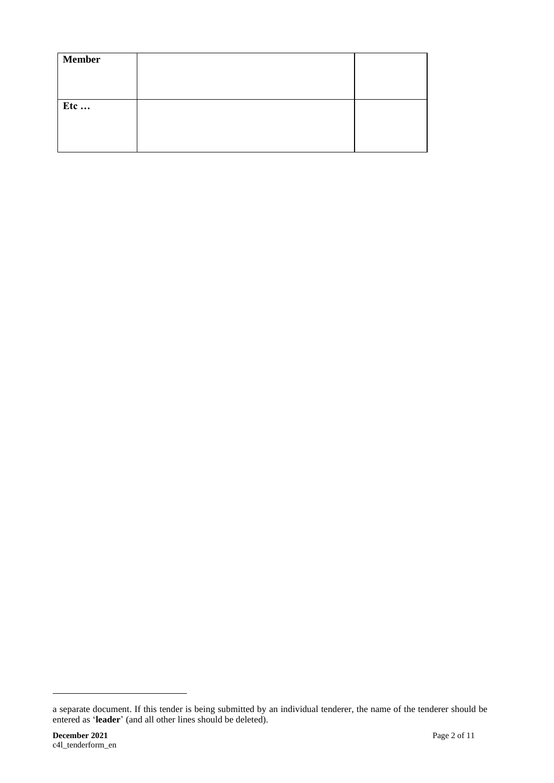| <b>Member</b> |  |
|---------------|--|
|               |  |
|               |  |
| Etc           |  |
|               |  |
|               |  |
|               |  |

a separate document. If this tender is being submitted by an individual tenderer, the name of the tenderer should be entered as '**leader**' (and all other lines should be deleted).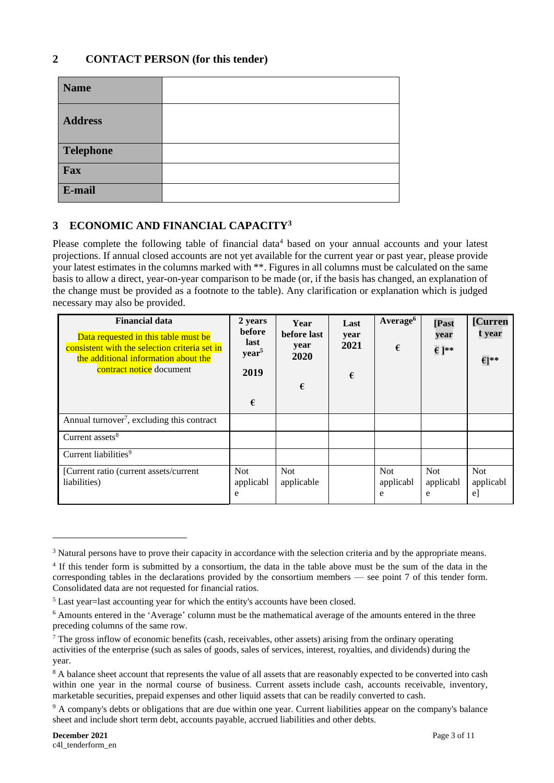## **2 CONTACT PERSON (for this tender)**

| <b>Name</b>      |  |
|------------------|--|
| <b>Address</b>   |  |
| <b>Telephone</b> |  |
| Fax              |  |
| E-mail           |  |

# **3 ECONOMIC AND FINANCIAL CAPACITY<sup>3</sup>**

Please complete the following table of financial data<sup>4</sup> based on your annual accounts and your latest projections. If annual closed accounts are not yet available for the current year or past year, please provide your latest estimates in the columns marked with \*\*. Figures in all columns must be calculated on the same basis to allow a direct, year-on-year comparison to be made (or, if the basis has changed, an explanation of the change must be provided as a footnote to the table). Any clarification or explanation which is judged necessary may also be provided.

| <b>Financial data</b><br>Data requested in this table must be<br>consistent with the selection criteria set in<br>the additional information about the<br>contract notice document | 2 years<br>before<br>last<br>year <sup>5</sup><br>2019<br>€ | Year<br>before last<br>year<br>2020<br>€ | Last<br>year<br>2021<br>€ | Average <sup>6</sup><br>€    | [Past<br>year<br>$\epsilon$ ]** | [Curren<br>t year<br>$\epsilon$ <sup>**</sup> |
|------------------------------------------------------------------------------------------------------------------------------------------------------------------------------------|-------------------------------------------------------------|------------------------------------------|---------------------------|------------------------------|---------------------------------|-----------------------------------------------|
| Annual turnover <sup>7</sup> , excluding this contract                                                                                                                             |                                                             |                                          |                           |                              |                                 |                                               |
| Current assets <sup>8</sup>                                                                                                                                                        |                                                             |                                          |                           |                              |                                 |                                               |
| Current liabilities <sup>9</sup>                                                                                                                                                   |                                                             |                                          |                           |                              |                                 |                                               |
| [Current ratio (current assets/current<br>liabilities)                                                                                                                             | Not.<br>applicabl<br>e                                      | <b>Not</b><br>applicable                 |                           | <b>Not</b><br>applicabl<br>e | <b>Not</b><br>applicabl<br>e    | <b>Not</b><br>applicabl<br>$\mathbf{e}$       |

<sup>&</sup>lt;sup>3</sup> Natural persons have to prove their capacity in accordance with the selection criteria and by the appropriate means.

<sup>4</sup> If this tender form is submitted by a consortium, the data in the table above must be the sum of the data in the corresponding tables in the declarations provided by the consortium members — see point 7 of this tender form. Consolidated data are not requested for financial ratios.

<sup>5</sup> Last year=last accounting year for which the entity's accounts have been closed.

<sup>6</sup> Amounts entered in the 'Average' column must be the mathematical average of the amounts entered in the three preceding columns of the same row.

 $<sup>7</sup>$  The gross inflow of economic benefits (cash, receivables, other assets) arising from the ordinary operating</sup> activities of the enterprise (such as sales of goods, sales of services, interest, royalties, and dividends) during the year.

<sup>&</sup>lt;sup>8</sup> A balance sheet account that represents the value of all assets that are reasonably expected to be converted into cash within one year in the normal course of business. Current assets include cash, accounts receivable, inventory, marketable securities, prepaid expenses and other liquid assets that can be readily converted to cash.

<sup>&</sup>lt;sup>9</sup> A company's debts or obligations that are due within one year. Current liabilities appear on the company's balance sheet and include short term debt, accounts payable, accrued liabilities and other debts.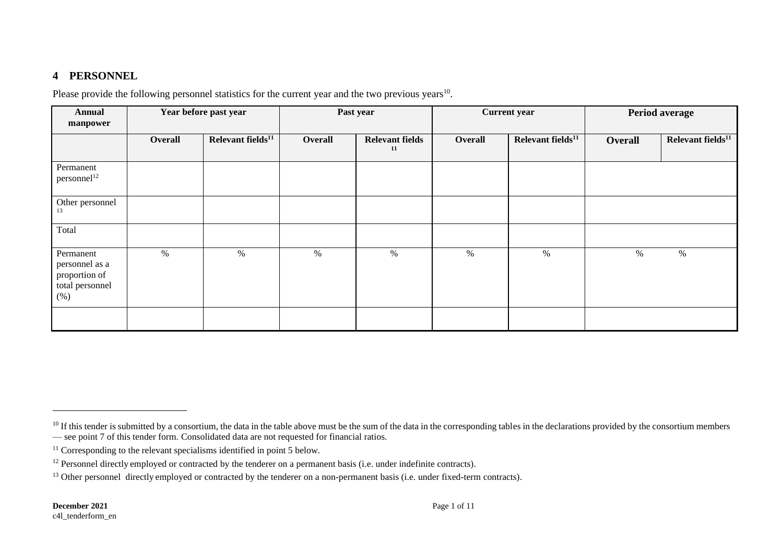# **4 PERSONNEL**

Please provide the following personnel statistics for the current year and the two previous years<sup>10</sup>.

| <b>Annual</b><br>manpower                                              |         | Year before past year         | Past year |                              | <b>Current year</b> |                               | Period average |                               |
|------------------------------------------------------------------------|---------|-------------------------------|-----------|------------------------------|---------------------|-------------------------------|----------------|-------------------------------|
|                                                                        | Overall | Relevant fields <sup>11</sup> | Overall   | <b>Relevant fields</b><br>11 | Overall             | Relevant fields <sup>11</sup> | <b>Overall</b> | Relevant fields <sup>11</sup> |
| Permanent<br>personnel <sup>12</sup>                                   |         |                               |           |                              |                     |                               |                |                               |
| Other personnel<br>13                                                  |         |                               |           |                              |                     |                               |                |                               |
| Total                                                                  |         |                               |           |                              |                     |                               |                |                               |
| Permanent<br>personnel as a<br>proportion of<br>total personnel<br>(%) | $\%$    | $\%$                          | $\%$      | $\%$                         | $\%$                | $\%$                          | $\%$           | $\%$                          |
|                                                                        |         |                               |           |                              |                     |                               |                |                               |

 $10$  If this tender is submitted by a consortium, the data in the table above must be the sum of the data in the corresponding tables in the declarations provided by the consortium members — see point 7 of this tender form. Consolidated data are not requested for financial ratios.

 $11$  Corresponding to the relevant specialisms identified in point 5 below.

 $12$  Personnel directly employed or contracted by the tenderer on a permanent basis (i.e. under indefinite contracts).

<sup>&</sup>lt;sup>13</sup> Other personnel directly employed or contracted by the tenderer on a non-permanent basis (i.e. under fixed-term contracts).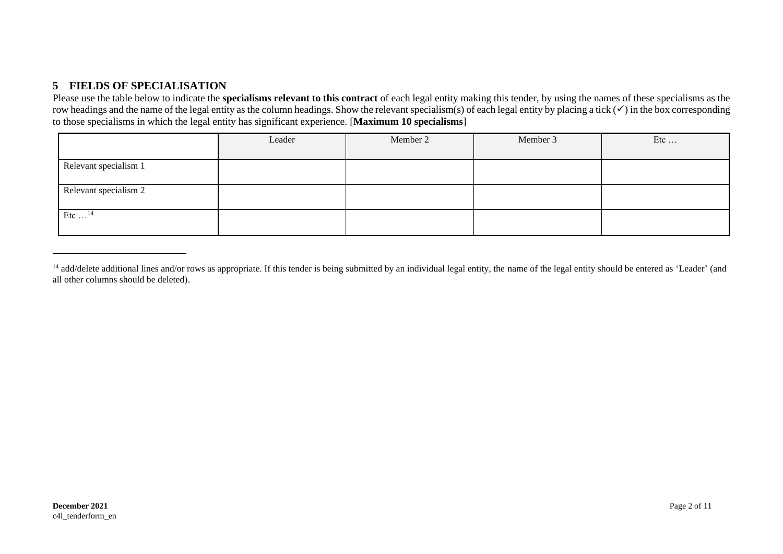# **5 FIELDS OF SPECIALISATION**

Please use the table below to indicate the **specialisms relevant to this contract** of each legal entity making this tender, by using the names of these specialisms as the row headings and the name of the legal entity as the column headings. Show the relevant specialism(s) of each legal entity by placing a tick (✓) in the box corresponding to those specialisms in which the legal entity has significant experience. [**Maximum 10 specialisms**]

|                           | Leader | Member 2 | Member 3 | Etc |
|---------------------------|--------|----------|----------|-----|
|                           |        |          |          |     |
| Relevant specialism 1     |        |          |          |     |
|                           |        |          |          |     |
| Relevant specialism 2     |        |          |          |     |
|                           |        |          |          |     |
| Etc $\dots$ <sup>14</sup> |        |          |          |     |
|                           |        |          |          |     |

<sup>&</sup>lt;sup>14</sup> add/delete additional lines and/or rows as appropriate. If this tender is being submitted by an individual legal entity, the name of the legal entity should be entered as 'Leader' (and all other columns should be deleted).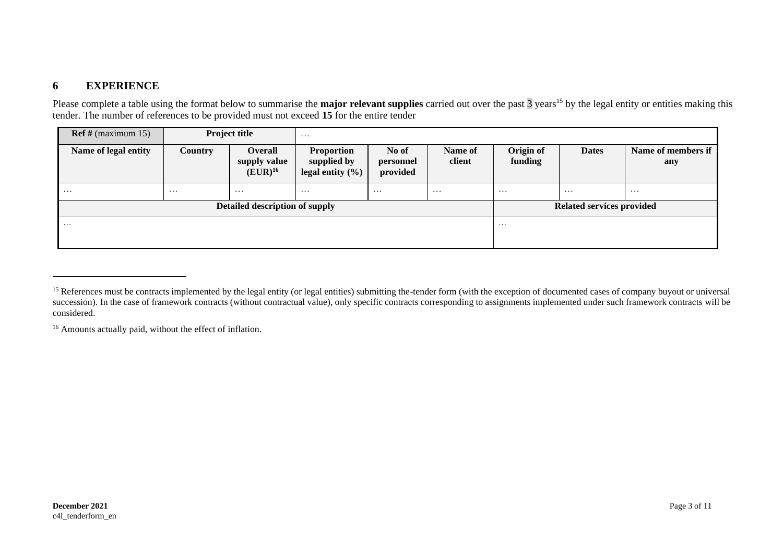## **6 EXPERIENCE**

Please complete a table using the format below to summarise the **major relevant supplies** carried out over the past  $\frac{1}{3}$  years<sup>15</sup> by the legal entity or entities making this tender. The number of references to be provided must not exceed **15** for the entire tender

| $\text{Ref } \# \text{ (maximum 15)}$ |                                | <b>Project title</b>                           | $\cdots$                                                 |                                |                   |                      |                           |                           |
|---------------------------------------|--------------------------------|------------------------------------------------|----------------------------------------------------------|--------------------------------|-------------------|----------------------|---------------------------|---------------------------|
| Name of legal entity                  | <b>Country</b>                 | <b>Overall</b><br>supply value<br>$(EUR)^{16}$ | <b>Proportion</b><br>supplied by<br>legal entity $(\% )$ | No of<br>personnel<br>provided | Name of<br>client | Origin of<br>funding | <b>Dates</b>              | Name of members if<br>any |
| $\cdots$                              | $\cdots$                       | $\cdots$                                       | $\cdots$                                                 | $\cdots$                       | $\cdots$          | $\cdots$             | $\cdots$                  | $\cdots$                  |
|                                       | Detailed description of supply |                                                |                                                          |                                |                   |                      | Related services provided |                           |
| $\cdots$                              |                                |                                                |                                                          |                                | $\cdots$          |                      |                           |                           |

<sup>16</sup> Amounts actually paid, without the effect of inflation.

<sup>&</sup>lt;sup>15</sup> References must be contracts implemented by the legal entity (or legal entities) submitting the-tender form (with the exception of documented cases of company buyout or universal succession). In the case of framework contracts (without contractual value), only specific contracts corresponding to assignments implemented under such framework contracts will be considered.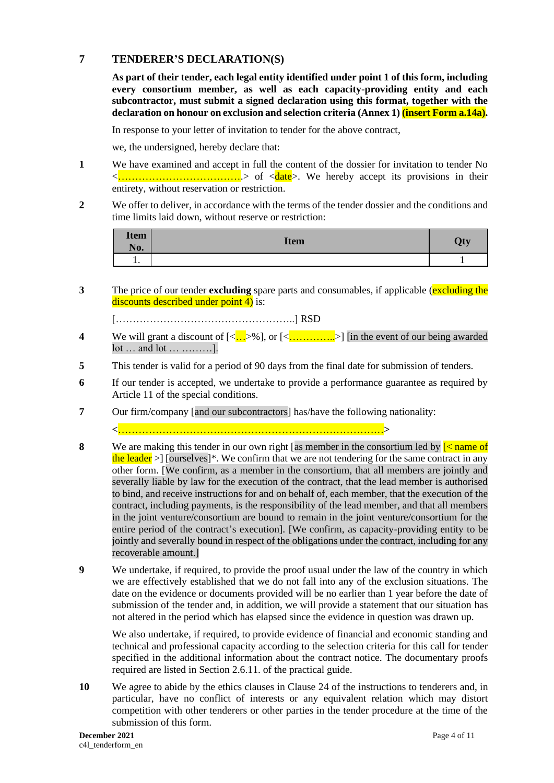#### **7 TENDERER'S DECLARATION(S)**

**As part of their tender, each legal entity identified under point 1 of this form, including every consortium member, as well as each capacity-providing entity and each subcontractor, must submit a signed declaration using this format, together with the declaration on honour on exclusion and selection criteria (Annex 1) (insert Form a.14a).** 

In response to your letter of invitation to tender for the above contract,

we, the undersigned, hereby declare that:

- **1** We have examined and accept in full the content of the dossier for invitation to tender No <……………………………….> of <date>. We hereby accept its provisions in their entirety, without reservation or restriction.
- **2** We offer to deliver, in accordance with the terms of the tender dossier and the conditions and time limits laid down, without reserve or restriction:

| <b>Item</b><br>No. | <b>Item</b> | Qty |
|--------------------|-------------|-----|
| . .                |             |     |

**3** The price of our tender **excluding** spare parts and consumables, if applicable (**excluding the** discounts described under point  $\overline{4}$ ) is:

[……………………………………………..] RSD

- **4** We will grant a discount of  $\left[\langle \frac{n!}{n!} \rangle \right]$  or  $\left[\langle \frac{n!}{n!} \rangle \right]$  [in the event of our being awarded lot … and lot … ………].
- **5** This tender is valid for a period of 90 days from the final date for submission of tenders.
- **6** If our tender is accepted, we undertake to provide a performance guarantee as required by Article 11 of the special conditions.
- **7** Our firm/company [and our subcontractors] has/have the following nationality:

**<**……………………………………………………………………**>**

- **8** We are making this tender in our own right [as member in the consortium led by  $\leq$  name of the leader  $>$  [ourselves]<sup>\*</sup>. We confirm that we are not tendering for the same contract in any other form. [We confirm, as a member in the consortium, that all members are jointly and severally liable by law for the execution of the contract, that the lead member is authorised to bind, and receive instructions for and on behalf of, each member, that the execution of the contract, including payments, is the responsibility of the lead member, and that all members in the joint venture/consortium are bound to remain in the joint venture/consortium for the entire period of the contract's execution]. [We confirm, as capacity-providing entity to be jointly and severally bound in respect of the obligations under the contract, including for any recoverable amount.]
- **9** We undertake, if required, to provide the proof usual under the law of the country in which we are effectively established that we do not fall into any of the exclusion situations. The date on the evidence or documents provided will be no earlier than 1 year before the date of submission of the tender and, in addition, we will provide a statement that our situation has not altered in the period which has elapsed since the evidence in question was drawn up.

We also undertake, if required, to provide evidence of financial and economic standing and technical and professional capacity according to the selection criteria for this call for tender specified in the additional information about the contract notice. The documentary proofs required are listed in Section 2.6.11. of the practical guide.

**10** We agree to abide by the ethics clauses in Clause 24 of the instructions to tenderers and, in particular, have no conflict of interests or any equivalent relation which may distort competition with other tenderers or other parties in the tender procedure at the time of the submission of this form.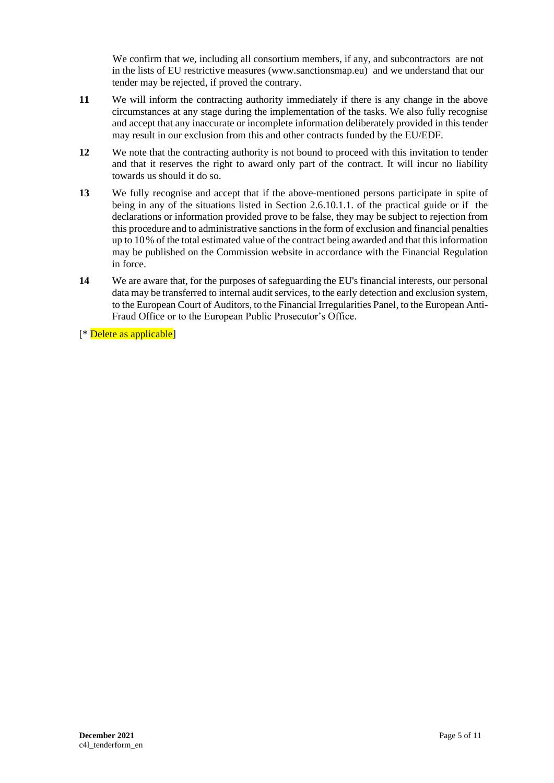We confirm that we, including all consortium members, if any, and subcontractors are not in the lists of EU restrictive measures [\(www.sanctionsmap.eu\)](http://www.sanctionsmap.eu/) and we understand that our tender may be rejected, if proved the contrary.

- **11** We will inform the contracting authority immediately if there is any change in the above circumstances at any stage during the implementation of the tasks. We also fully recognise and accept that any inaccurate or incomplete information deliberately provided in this tender may result in our exclusion from this and other contracts funded by the EU/EDF.
- **12** We note that the contracting authority is not bound to proceed with this invitation to tender and that it reserves the right to award only part of the contract. It will incur no liability towards us should it do so.
- **13** We fully recognise and accept that if the above-mentioned persons participate in spite of being in any of the situations listed in Section 2.6.10.1.1. of the practical guide or if the declarations or information provided prove to be false, they may be subject to rejection from this procedure and to administrative sanctions in the form of exclusion and financial penalties up to 10% of the total estimated value of the contract being awarded and that this information may be published on the Commission website in accordance with the Financial Regulation in force.
- **14** We are aware that, for the purposes of safeguarding the EU's financial interests, our personal data may be transferred to internal audit services, to the early detection and exclusion system, to the European Court of Auditors, to the Financial Irregularities Panel, to the European Anti-Fraud Office or to the European Public Prosecutor's Office.

[\* Delete as applicable]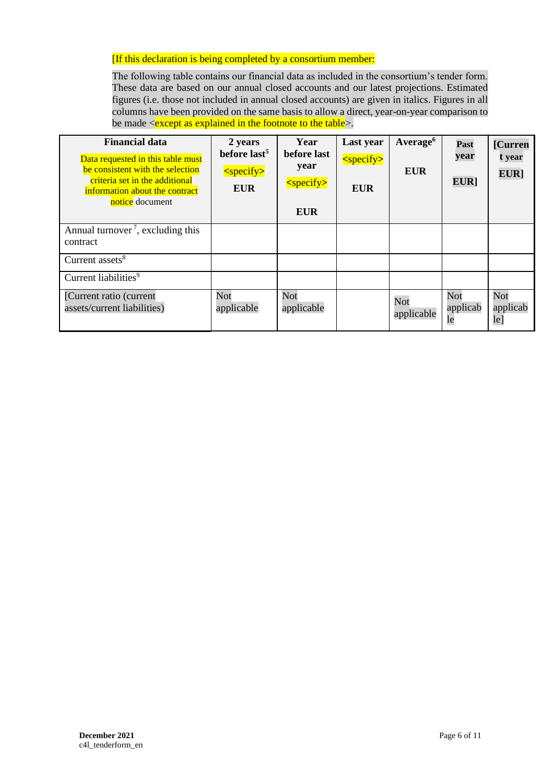#### [If this declaration is being completed by a consortium member:

The following table contains our financial data as included in the consortium's tender form. These data are based on our annual closed accounts and our latest projections. Estimated figures (i.e. those not included in annual closed accounts) are given in italics. Figures in all columns have been provided on the same basis to allow a direct, year-on-year comparison to be made  $\le$ except as explained in the footnote to the table $\ge$ .

| <b>Financial data</b><br>Data requested in this table must<br>be consistent with the selection<br>criteria set in the additional<br>information about the contract<br>notice document | 2 years<br>before last <sup>5</sup><br>$<$ specify $>$<br><b>EUR</b> | Year<br>before last<br>year<br>$<$ specify $>$<br><b>EUR</b> | Last year<br>$<$ specify $>$<br><b>EUR</b> | Average <sup>6</sup><br><b>EUR</b> | Past<br>year<br>EUR]  | [Curren<br>t year<br>EUR] |
|---------------------------------------------------------------------------------------------------------------------------------------------------------------------------------------|----------------------------------------------------------------------|--------------------------------------------------------------|--------------------------------------------|------------------------------------|-----------------------|---------------------------|
| Annual turnover <sup>7</sup> , excluding this<br>contract                                                                                                                             |                                                                      |                                                              |                                            |                                    |                       |                           |
| Current assets <sup>8</sup>                                                                                                                                                           |                                                                      |                                                              |                                            |                                    |                       |                           |
| Current liabilities <sup>9</sup>                                                                                                                                                      |                                                                      |                                                              |                                            |                                    |                       |                           |
| [Current ratio (current<br>assets/current liabilities)                                                                                                                                | Not<br>applicable                                                    | Not<br>applicable                                            |                                            | Not<br>applicable                  | Not<br>applicab<br>le | Not<br>applicab<br>le]    |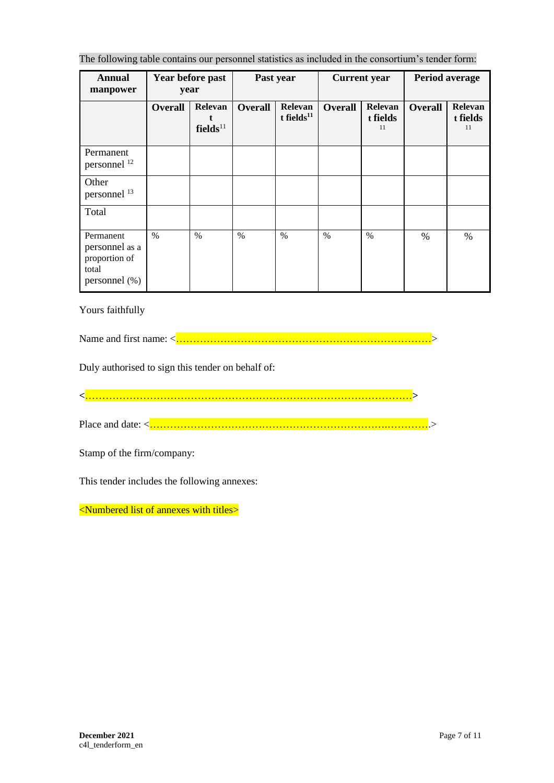The following table contains our personnel statistics as included in the consortium's tender form:

| <b>Annual</b><br>manpower                                                 | Year before past<br>year |                                 | Past year      |                             | <b>Current</b> year |                           | Period average |                           |
|---------------------------------------------------------------------------|--------------------------|---------------------------------|----------------|-----------------------------|---------------------|---------------------------|----------------|---------------------------|
|                                                                           | <b>Overall</b>           | Relevan<br>fields <sup>11</sup> | <b>Overall</b> | Relevan<br>t fields $^{11}$ | <b>Overall</b>      | Relevan<br>t fields<br>11 | <b>Overall</b> | Relevan<br>t fields<br>11 |
| Permanent<br>personnel <sup>12</sup>                                      |                          |                                 |                |                             |                     |                           |                |                           |
| Other<br>personnel <sup>13</sup>                                          |                          |                                 |                |                             |                     |                           |                |                           |
| Total                                                                     |                          |                                 |                |                             |                     |                           |                |                           |
| Permanent<br>personnel as a<br>proportion of<br>total<br>personnel $(\%)$ | $\%$                     | $\frac{0}{0}$                   | $\frac{0}{0}$  | $\%$                        | $\frac{0}{0}$       | $\frac{0}{0}$             | $\%$           | $\%$                      |

Yours faithfully

Name and first name: <…………………………………………………………………>

Duly authorised to sign this tender on behalf of:

**<**……………………………………………………………………………………**>**

Place and date: <…………………………………………………………….………….>

Stamp of the firm/company:

This tender includes the following annexes:

<Numbered list of annexes with titles>